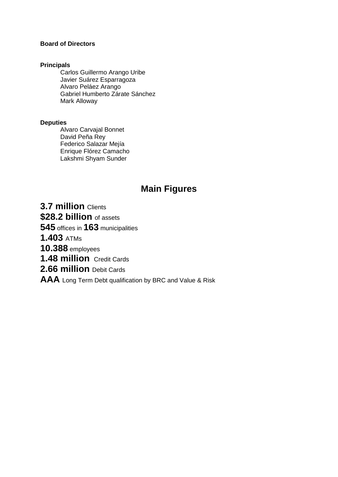## **Board of Directors**

#### **Principals**

Carlos Guillermo Arango Uribe Javier Suárez Esparragoza Alvaro Peláez Arango Gabriel Humberto Zárate Sánchez Mark Alloway

#### **Deputies**

Alvaro Carvajal Bonnet David Peña Rey Federico Salazar Mejía Enrique Flórez Camacho Lakshmi Shyam Sunder

## **Main Figures**

**3.7 million** Clients

**\$28.2 billion** of assets

**545** offices in **163** municipalities

**1.403** ATMs

**10.388** employees

**1.48 million** Credit Cards

**2.66 million** Debit Cards

**AAA** Long Term Debt qualification by BRC and Value & Risk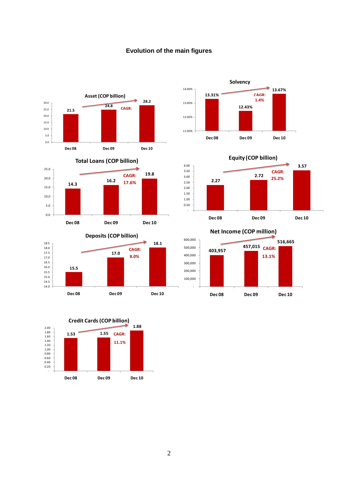













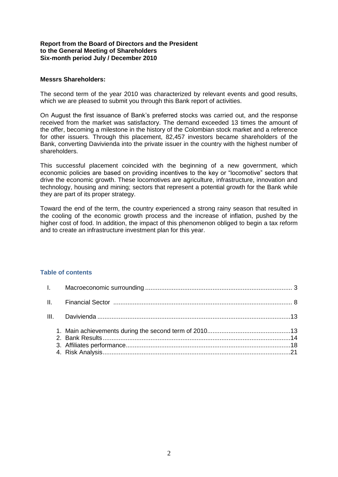#### **Report from the Board of Directors and the President to the General Meeting of Shareholders Six-month period July / December 2010**

#### **Messrs Shareholders:**

The second term of the year 2010 was characterized by relevant events and good results, which we are pleased to submit you through this Bank report of activities.

On August the first issuance of Bank's preferred stocks was carried out, and the response received from the market was satisfactory. The demand exceeded 13 times the amount of the offer, becoming a milestone in the history of the Colombian stock market and a reference for other issuers. Through this placement, 82,457 investors became shareholders of the Bank, converting Davivienda into the private issuer in the country with the highest number of shareholders.

This successful placement coincided with the beginning of a new government, which economic policies are based on providing incentives to the key or "locomotive" sectors that drive the economic growth. These locomotives are agriculture, infrastructure, innovation and technology, housing and mining; sectors that represent a potential growth for the Bank while they are part of its proper strategy.

Toward the end of the term, the country experienced a strong rainy season that resulted in the cooling of the economic growth process and the increase of inflation, pushed by the higher cost of food. In addition, the impact of this phenomenon obliged to begin a tax reform and to create an infrastructure investment plan for this year.

#### **Table of contents**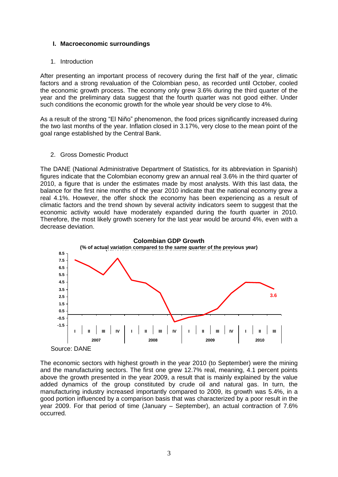## <span id="page-3-0"></span>**I. Macroeconomic surroundings**

#### 1. Introduction

After presenting an important process of recovery during the first half of the year, climatic factors and a strong revaluation of the Colombian peso, as recorded until October, cooled the economic growth process. The economy only grew 3.6% during the third quarter of the year and the preliminary data suggest that the fourth quarter was not good either. Under such conditions the economic growth for the whole year should be very close to 4%.

As a result of the strong "El Niño" phenomenon, the food prices significantly increased during the two last months of the year. Inflation closed in 3.17%, very close to the mean point of the goal range established by the Central Bank.

#### 2. Gross Domestic Product

The DANE (National Administrative Department of Statistics, for its abbreviation in Spanish) figures indicate that the Colombian economy grew an annual real 3.6% in the third quarter of 2010, a figure that is under the estimates made by most analysts. With this last data, the balance for the first nine months of the year 2010 indicate that the national economy grew a real 4.1%. However, the offer shock the economy has been experiencing as a result of climatic factors and the trend shown by several activity indicators seem to suggest that the economic activity would have moderately expanded during the fourth quarter in 2010. Therefore, the most likely growth scenery for the last year would be around 4%, even with a decrease deviation.



The economic sectors with highest growth in the year 2010 (to September) were the mining and the manufacturing sectors. The first one grew 12.7% real, meaning, 4.1 percent points above the growth presented in the year 2009, a result that is mainly explained by the value added dynamics of the group constituted by crude oil and natural gas. In turn, the manufacturing industry increased importantly compared to 2009, its growth was 5.4%, in a good portion influenced by a comparison basis that was characterized by a poor result in the year 2009. For that period of time (January – September), an actual contraction of 7.6% occurred.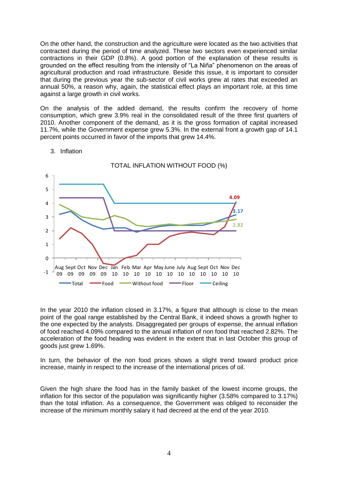On the other hand, the construction and the agriculture were located as the two activities that contracted during the period of time analyzed. These two sectors even experienced similar contractions in their GDP (0.8%). A good portion of the explanation of these results is grounded on the effect resulting from the intensity of "La Niña" phenomenon on the areas of agricultural production and road infrastructure. Beside this issue, it is important to consider that during the previous year the sub-sector of civil works grew at rates that exceeded an annual 50%, a reason why, again, the statistical effect plays an important role, at this time against a large growth in civil works.

On the analysis of the added demand, the results confirm the recovery of home consumption, which grew 3.9% real in the consolidated result of the three first quarters of 2010. Another component of the demand, as it is the gross formation of capital increased 11.7%, while the Government expense grew 5.3%. In the external front a growth gap of 14.1 percent points occurred in favor of the imports that grew 14.4%.



#### 3. Inflation

In the year 2010 the inflation closed in 3.17%, a figure that although is close to the mean point of the goal range established by the Central Bank, it indeed shows a growth higher to the one expected by the analysts. Disaggregated per groups of expense, the annual inflation of food reached 4.09% compared to the annual inflation of non food that reached 2.82%. The acceleration of the food heading was evident in the extent that in last October this group of goods just grew 1.69%.

In turn, the behavior of the non food prices shows a slight trend toward product price increase, mainly in respect to the increase of the international prices of oil.

Given the high share the food has in the family basket of the lowest income groups, the inflation for this sector of the population was significantly higher (3.58% compared to 3.17%) than the total inflation. As a consequence, the Government was obliged to reconsider the increase of the minimum monthly salary it had decreed at the end of the year 2010.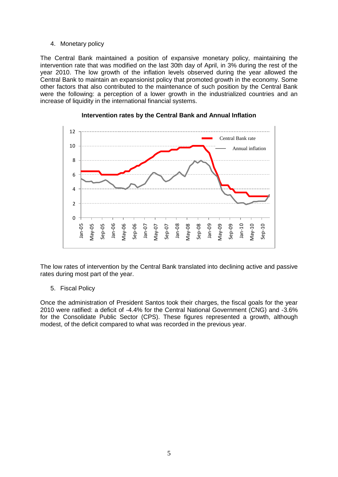#### 4. Monetary policy

The Central Bank maintained a position of expansive monetary policy, maintaining the intervention rate that was modified on the last 30th day of April, in 3% during the rest of the year 2010. The low growth of the inflation levels observed during the year allowed the Central Bank to maintain an expansionist policy that promoted growth in the economy. Some other factors that also contributed to the maintenance of such position by the Central Bank were the following: a perception of a lower growth in the industrialized countries and an increase of liquidity in the international financial systems.



#### **Intervention rates by the Central Bank and Annual Inflation**

The low rates of intervention by the Central Bank translated into declining active and passive rates during most part of the year.

#### 5. Fiscal Policy

Once the administration of President Santos took their charges, the fiscal goals for the year 2010 were ratified: a deficit of -4.4% for the Central National Government (CNG) and -3.6% for the Consolidate Public Sector (CPS). These figures represented a growth, although modest, of the deficit compared to what was recorded in the previous year.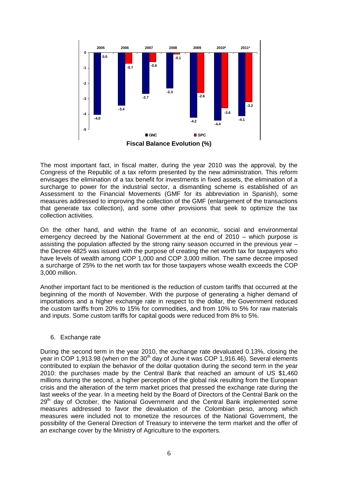

The most important fact, in fiscal matter, during the year 2010 was the approval, by the Congress of the Republic of a tax reform presented by the new administration. This reform envisages the elimination of a tax benefit for investments in fixed assets, the elimination of a surcharge to power for the industrial sector, a dismantling scheme is established of an Assessment to the Financial Movements (GMF for its abbreviation in Spanish), some measures addressed to improving the collection of the GMF (enlargement of the transactions that generate tax collection), and some other provisions that seek to optimize the tax collection activities.

On the other hand, and within the frame of an economic, social and environmental emergency decreed by the National Government at the end of 2010 – which purpose is assisting the population affected by the strong rainy season occurred in the previous year – the Decree 4825 was issued with the purpose of creating the net worth tax for taxpayers who have levels of wealth among COP 1,000 and COP 3,000 million. The same decree imposed a surcharge of 25% to the net worth tax for those taxpayers whose wealth exceeds the COP 3,000 million.

Another important fact to be mentioned is the reduction of custom tariffs that occurred at the beginning of the month of November. With the purpose of generating a higher demand of importations and a higher exchange rate in respect to the dollar, the Government reduced the custom tariffs from 20% to 15% for commodities, and from 10% to 5% for raw materials and inputs. Some custom tariffs for capital goods were reduced from 8% to 5%.

#### 6. Exchange rate

During the second term in the year 2010, the exchange rate devaluated 0.13%, closing the year in COP 1,913.98 (when on the 30<sup>th</sup> day of June it was COP 1,916.46). Several elements contributed to explain the behavior of the dollar quotation during the second term in the year 2010: the purchases made by the Central Bank that reached an amount of US \$1,460 millions during the second, a higher perception of the global risk resulting from the European crisis and the alteration of the term market prices that pressed the exchange rate during the last weeks of the year. In a meeting held by the Board of Directors of the Central Bank on the  $29<sup>th</sup>$  day of October, the National Government and the Central Bank implemented some measures addressed to favor the devaluation of the Colombian peso, among which measures were included not to monetize the resources of the National Government, the possibility of the General Direction of Treasury to intervene the term market and the offer of an exchange cover by the Ministry of Agriculture to the exporters.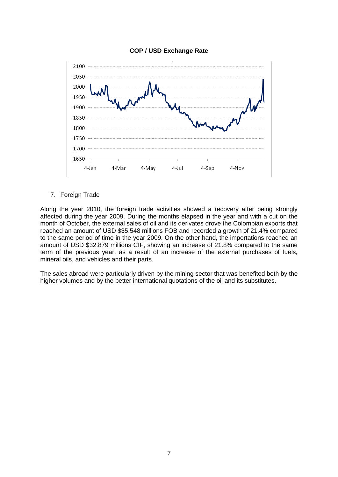

## **COP / USD Exchange Rate**

7. Foreign Trade

Along the year 2010, the foreign trade activities showed a recovery after being strongly affected during the year 2009. During the months elapsed in the year and with a cut on the month of October, the external sales of oil and its derivates drove the Colombian exports that reached an amount of USD \$35.548 millions FOB and recorded a growth of 21.4% compared to the same period of time in the year 2009. On the other hand, the importations reached an amount of USD \$32.879 millions CIF, showing an increase of 21.8% compared to the same term of the previous year, as a result of an increase of the external purchases of fuels, mineral oils, and vehicles and their parts.

The sales abroad were particularly driven by the mining sector that was benefited both by the higher volumes and by the better international quotations of the oil and its substitutes.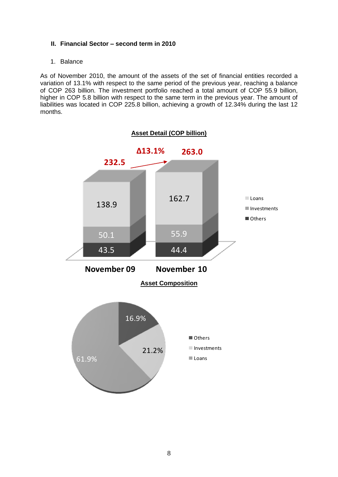## <span id="page-8-0"></span>**II. Financial Sector – second term in 2010**

## 1. Balance

As of November 2010, the amount of the assets of the set of financial entities recorded a variation of 13.1% with respect to the same period of the previous year, reaching a balance of COP 263 billion. The investment portfolio reached a total amount of COP 55.9 billion, higher in COP 5.8 billion with respect to the same term in the previous year. The amount of liabilities was located in COP 225.8 billion, achieving a growth of 12.34% during the last 12 months.

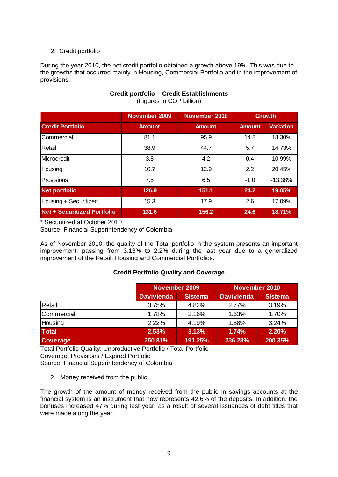## 2. Credit portfolio

During the year 2010, the net credit portfolio obtained a growth above 19%. This was due to the growths that occurred mainly in Housing, Commercial Portfolio and in the improvement of provisions.

|                                    | November 2009 | November 2010 | <b>Growth</b> |                  |
|------------------------------------|---------------|---------------|---------------|------------------|
| <b>Credit Portfolio</b>            | <b>Amount</b> | <b>Amount</b> | <b>Amount</b> | <b>Variation</b> |
| <b>Commercial</b>                  | 81.1          | 95.9          | 14.8          | 18.30%           |
| Retail                             | 38.9          | 44.7          | 5.7           | 14.73%           |
| <b>Microcredit</b>                 | 3.8           | 4.2           | 0.4           | 10.99%           |
| Housing                            | 10.7          | 12.9          | 2.2           | 20.45%           |
| Provisions                         | 7.5           | 6.5           | $-1.0$        | $-13.38%$        |
| <b>Net portfolio</b>               | 126.9         | 151.1         | 24.2          | 19.05%           |
| Housing + Securitized              | 15.3          | 17.9          | 2.6           | 17.09%           |
| <b>Net + Securitized Portfolio</b> | 131.6         | 156.2         | 24.6          | 18.71%           |

**Credit portfolio – Credit Establishments**  (Figures in COP billion)

\* Securitized at October 2010

Source: Financial Superintendency of Colombia

As of November 2010, the quality of the Total portfolio in the system presents an important improvement, passing from 3.13% to 2.2% during the last year due to a generalized improvement of the Retail, Housing and Commercial Portfolios.

#### **Credit Portfolio Quality and Coverage**

|                 | November 2009     |                | November 2010     |                |  |
|-----------------|-------------------|----------------|-------------------|----------------|--|
|                 | <b>Davivienda</b> | <b>Sistema</b> | <b>Davivienda</b> | <b>Sistema</b> |  |
| Retail          | 3.75%             | 4.82%          | 2.77%             | 3.19%          |  |
| Commercial      | 1.78%             | 2.16%          | 1.63%             | 1.70%          |  |
| Housing         | 2.22%             | 4.19%          | 1.58%             | 3.24%          |  |
| <b>Total</b>    | 2.53%             | 3.13%          | 1.74%             | 2.20%          |  |
| <b>Coverage</b> | 250.81%           | 191.25%        | 236.28%           | 200.35%        |  |

Total Portfolio Quality: Unproductive Portfolio / Total Portfolio Coverage: Provisions / Expired Portfolio Source: Financial Superintendency of Colombia

2. Money received from the public

The growth of the amount of money received from the public in savings accounts at the financial system is an instrument that now represents 42.6% of the deposits. In addition, the bonuses increased 47% during last year, as a result of several issuances of debt titles that were made along the year.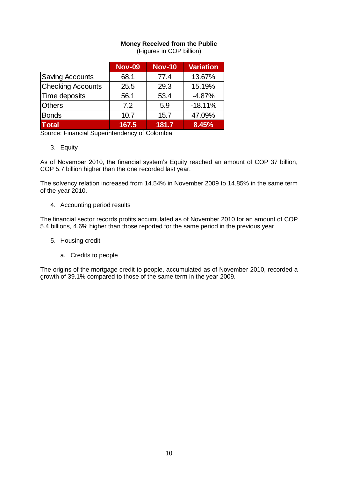## **Money Received from the Public**

| (Figures in COP billion) |  |  |  |
|--------------------------|--|--|--|
|--------------------------|--|--|--|

|                          | <b>Nov-09</b> | <b>Nov-10</b> | <b>Variation</b> |
|--------------------------|---------------|---------------|------------------|
| <b>Saving Accounts</b>   | 68.1          | 77.4          | 13.67%           |
| <b>Checking Accounts</b> | 25.5          | 29.3          | 15.19%           |
| Time deposits            | 56.1          | 53.4          | $-4.87%$         |
| <b>Others</b>            | 7.2           | 5.9           | $-18.11%$        |
| <b>Bonds</b>             | 10.7          | 15.7          | 47.09%           |
| <b>Total</b>             | 167.5         | 181.7         | 8.45%            |

Source: Financial Superintendency of Colombia

3. Equity

As of November 2010, the financial system's Equity reached an amount of COP 37 billion, COP 5.7 billion higher than the one recorded last year.

The solvency relation increased from 14.54% in November 2009 to 14.85% in the same term of the year 2010.

4. Accounting period results

The financial sector records profits accumulated as of November 2010 for an amount of COP 5.4 billions, 4.6% higher than those reported for the same period in the previous year.

- 5. Housing credit
	- a. Credits to people

The origins of the mortgage credit to people, accumulated as of November 2010, recorded a growth of 39.1% compared to those of the same term in the year 2009.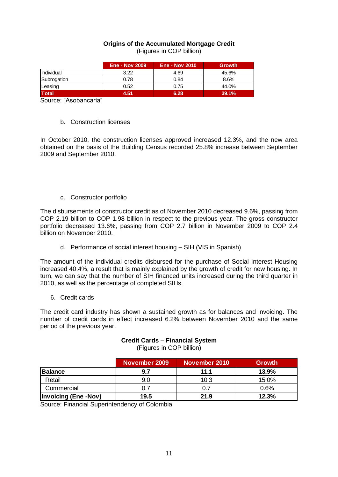#### **Origins of the Accumulated Mortgage Credit**  (Figures in COP billion)

|                   | <b>Ene - Nov 2009</b> | <b>Ene - Nov 2010</b> | <b>Growth</b> |
|-------------------|-----------------------|-----------------------|---------------|
| <b>Individual</b> | 3.22                  | 4.69                  | 45.6%         |
| Subrogation       | 0.78                  | 0.84                  | 8.6%          |
| Leasing           | 0.52                  | 0.75                  | 44.0%         |
| <b>Total</b>      | 4.51                  | 6.28                  | 39.1%         |

Source: "Asobancaria"

#### b. Construction licenses

In October 2010, the construction licenses approved increased 12.3%, and the new area obtained on the basis of the Building Census recorded 25.8% increase between September 2009 and September 2010.

#### c. Constructor portfolio

The disbursements of constructor credit as of November 2010 decreased 9.6%, passing from COP 2.19 billion to COP 1.98 billion in respect to the previous year. The gross constructor portfolio decreased 13.6%, passing from COP 2.7 billion in November 2009 to COP 2.4 billion on November 2010.

#### d. Performance of social interest housing – SIH (VIS in Spanish)

The amount of the individual credits disbursed for the purchase of Social Interest Housing increased 40.4%, a result that is mainly explained by the growth of credit for new housing. In turn, we can say that the number of SIH financed units increased during the third quarter in 2010, as well as the percentage of completed SIHs.

#### 6. Credit cards

The credit card industry has shown a sustained growth as for balances and invoicing. The number of credit cards in effect increased 6.2% between November 2010 and the same period of the previous year.

## **Credit Cards – Financial System**

(Figures in COP billion)

|                             | November 2009 | November 2010 | Growth |
|-----------------------------|---------------|---------------|--------|
| <b>Balance</b>              | 9.7           | 11.1          | 13.9%  |
| Retail                      | 9.0           | 10.3          | 15.0%  |
| Commercial                  | 0.7           | 0.7           | 0.6%   |
| <b>Invoicing (Ene -Nov)</b> | 19.5          | 21.9          | 12.3%  |

Source: Financial Superintendency of Colombia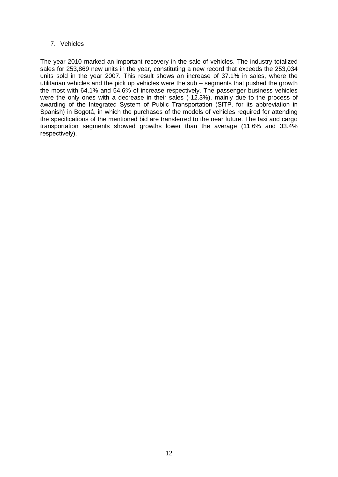## 7. Vehicles

The year 2010 marked an important recovery in the sale of vehicles. The industry totalized sales for 253,869 new units in the year, constituting a new record that exceeds the 253,034 units sold in the year 2007. This result shows an increase of 37.1% in sales, where the utilitarian vehicles and the pick up vehicles were the sub – segments that pushed the growth the most with 64.1% and 54.6% of increase respectively. The passenger business vehicles were the only ones with a decrease in their sales (-12.3%), mainly due to the process of awarding of the Integrated System of Public Transportation (SITP, for its abbreviation in Spanish) in Bogotá, in which the purchases of the models of vehicles required for attending the specifications of the mentioned bid are transferred to the near future. The taxi and cargo transportation segments showed growths lower than the average (11.6% and 33.4% respectively).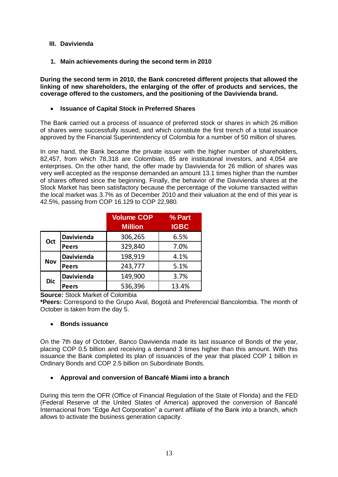## <span id="page-13-0"></span>**III. Davivienda**

<span id="page-13-1"></span>**1. Main achievements during the second term in 2010**

**During the second term in 2010, the Bank concreted different projects that allowed the linking of new shareholders, the enlarging of the offer of products and services, the coverage offered to the customers, and the positioning of the Davivienda brand.** 

## **Issuance of Capital Stock in Preferred Shares**

The Bank carried out a process of issuance of preferred stock or shares in which 26 million of shares were successfully issued, and which constitute the first trench of a total issuance approved by the Financial Superintendency of Colombia for a number of 50 million of shares.

In one hand, the Bank became the private issuer with the higher number of shareholders, 82,457, from which 78,318 are Colombian, 85 are institutional investors, and 4,054 are enterprises. On the other hand, the offer made by Davivienda for 26 million of shares was very well accepted as the response demanded an amount 13.1 times higher than the number of shares offered since the beginning. Finally, the behavior of the Davivienda shares at the Stock Market has been satisfactory because the percentage of the volume transacted within the local market was 3.7% as of December 2010 and their valuation at the end of this year is 42.5%, passing from COP 16.129 to COP 22,980.

|            |                   | <b>Volume COP</b><br><b>Million</b> | % Part<br><b>IGBC</b> |
|------------|-------------------|-------------------------------------|-----------------------|
| Oct        | Davivienda        | 306,265                             | 6.5%                  |
|            | <b>Peers</b>      | 329,840                             | 7.0%                  |
| <b>Nov</b> | <b>Davivienda</b> | 198,919                             | 4.1%                  |
|            | <b>Peers</b>      | 243,777                             | 5.1%                  |
| <b>Dic</b> | <b>Davivienda</b> | 149,900                             | 3.7%                  |
|            | <b>Peers</b>      | 536,396                             | 13.4%                 |

**Source:** Stock Market of Colombia

**\*Peers:** Correspond to the Grupo Aval, Bogotá and Preferencial Bancolombia. The month of October is taken from the day 5.

#### **Bonds issuance**

On the 7th day of October, Banco Davivienda made its last issuance of Bonds of the year, placing COP 0.5 billion and receiving a demand 3 times higher than this amount. With this issuance the Bank completed its plan of issuances of the year that placed COP 1 billion in Ordinary Bonds and COP 2.5 billion on Subordinate Bonds.

## **Approval and conversion of Bancafé Miami into a branch**

During this term the OFR (Office of Financial Regulation of the State of Florida) and the FED (Federal Reserve of the United States of America) approved the conversion of Bancafé Internacional from "Edge Act Corporation" a current affiliate of the Bank into a branch, which allows to activate the business generation capacity.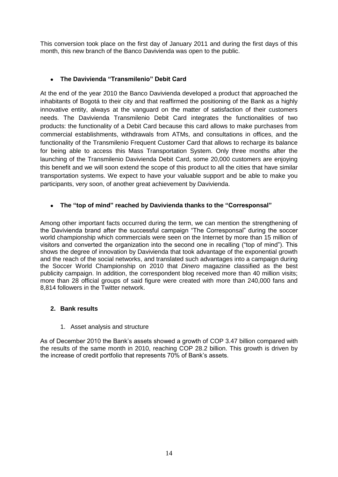This conversion took place on the first day of January 2011 and during the first days of this month, this new branch of the Banco Davivienda was open to the public.

## **The Davivienda "Transmilenio" Debit Card**

At the end of the year 2010 the Banco Davivienda developed a product that approached the inhabitants of Bogotá to their city and that reaffirmed the positioning of the Bank as a highly innovative entity, always at the vanguard on the matter of satisfaction of their customers needs. The Davivienda Transmilenio Debit Card integrates the functionalities of two products: the functionality of a Debit Card because this card allows to make purchases from commercial establishments, withdrawals from ATMs, and consultations in offices, and the functionality of the Transmilenio Frequent Customer Card that allows to recharge its balance for being able to access this Mass Transportation System. Only three months after the launching of the Transmilenio Davivienda Debit Card, some 20,000 customers are enjoying this benefit and we will soon extend the scope of this product to all the cities that have similar transportation systems. We expect to have your valuable support and be able to make you participants, very soon, of another great achievement by Davivienda.

## **The "top of mind" reached by Davivienda thanks to the "Corresponsal"**

Among other important facts occurred during the term, we can mention the strengthening of the Davivienda brand after the successful campaign "The Corresponsal" during the soccer world championship which commercials were seen on the Internet by more than 15 million of visitors and converted the organization into the second one in recalling ("top of mind"). This shows the degree of innovation by Davivienda that took advantage of the exponential growth and the reach of the social networks, and translated such advantages into a campaign during the Soccer World Championship on 2010 that *Dinero* magazine classified as the best publicity campaign. In addition, the correspondent blog received more than 40 million visits; more than 28 official groups of said figure were created with more than 240,000 fans and 8,814 followers in the Twitter network.

#### <span id="page-14-0"></span>**2. Bank results**

1. Asset analysis and structure

As of December 2010 the Bank's assets showed a growth of COP 3.47 billion compared with the results of the same month in 2010, reaching COP 28.2 billion. This growth is driven by the increase of credit portfolio that represents 70% of Bank's assets.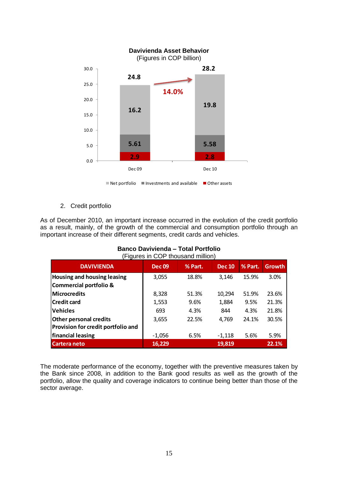

2. Credit portfolio

As of December 2010, an important increase occurred in the evolution of the credit portfolio as a result, mainly, of the growth of the commercial and consumption portfolio through an important increase of their different segments, credit cards and vehicles.

| (Figures III COF triousafig filillion)                                     |               |         |               |         |               |
|----------------------------------------------------------------------------|---------------|---------|---------------|---------|---------------|
| <b>DAVIVIENDA</b>                                                          | <b>Dec 09</b> | % Part. | <b>Dec 10</b> | % Part. | <b>Growth</b> |
| <b>Housing and housing leasing</b><br>Commercial portfolio &               | 3,055         | 18.8%   | 3,146         | 15.9%   | 3.0%          |
| Microcredits                                                               | 8,328         | 51.3%   | 10,294        | 51.9%   | 23.6%         |
| <b>Credit card</b>                                                         | 1,553         | 9.6%    | 1,884         | 9.5%    | 21.3%         |
| <b>Vehicles</b>                                                            | 693           | 4.3%    | 844           | 4.3%    | 21.8%         |
| <b>Other personal credits</b><br><b>Provision for credit portfolio and</b> | 3,655         | 22.5%   | 4,769         | 24.1%   | 30.5%         |
| financial leasing                                                          | $-1,056$      | 6.5%    | $-1,118$      | 5.6%    | 5.9%          |
| <b>Cartera neto</b>                                                        | 16,229        |         | 19,819        |         | 22.1%         |

#### **Banco Davivienda – Total Portfolio**  (Figures in COP thousand million)

The moderate performance of the economy, together with the preventive measures taken by the Bank since 2008, in addition to the Bank good results as well as the growth of the portfolio, allow the quality and coverage indicators to continue being better than those of the sector average.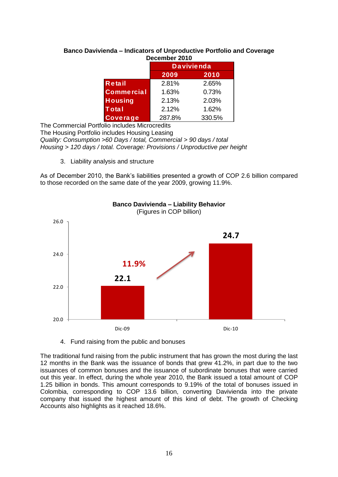## **Banco Davivienda – Indicators of Unproductive Portfolio and Coverage December 2010**

|                   | <b>Davivienda</b> |       |  |  |
|-------------------|-------------------|-------|--|--|
|                   | 2009              | 2010  |  |  |
| Retail            | 2.81%<br>2.65%    |       |  |  |
| <b>Commercial</b> | 1.63%             | 0.73% |  |  |
| <b>Housing</b>    | 2.13%             | 2.03% |  |  |
| <b>Total</b>      | 2.12%             | 1.62% |  |  |
| Coverage          | 287.8%<br>330.5%  |       |  |  |

The Commercial Portfolio includes Microcredits

The Housing Portfolio includes Housing Leasing *Quality: Consumption >60 Days / total, Commercial > 90 days / total Housing > 120 days / total. Coverage: Provisions / Unproductive per height*

3. Liability analysis and structure

As of December 2010, the Bank's liabilities presented a growth of COP 2.6 billion compared to those recorded on the same date of the year 2009, growing 11.9%.



#### **Banco Davivienda – Liability Behavior** (Figures in COP billion)

4. Fund raising from the public and bonuses

The traditional fund raising from the public instrument that has grown the most during the last 12 months in the Bank was the issuance of bonds that grew 41.2%, in part due to the two issuances of common bonuses and the issuance of subordinate bonuses that were carried out this year. In effect, during the whole year 2010, the Bank issued a total amount of COP 1.25 billion in bonds. This amount corresponds to 9.19% of the total of bonuses issued in Colombia, corresponding to COP 13.6 billion, converting Davivienda into the private company that issued the highest amount of this kind of debt. The growth of Checking Accounts also highlights as it reached 18.6%.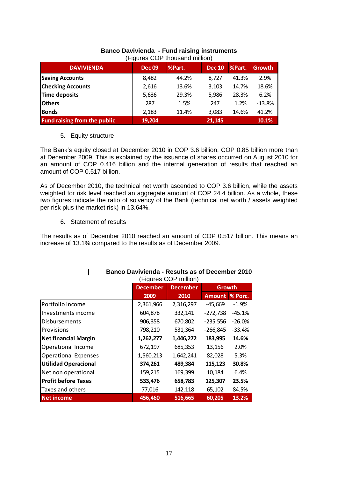|                                     |               | i iyulca Ool tilogaaliy ililiiloi i |               |        |               |
|-------------------------------------|---------------|-------------------------------------|---------------|--------|---------------|
| <b>DAVIVIENDA</b>                   | <b>Dec 09</b> | %Part.                              | <b>Dec 10</b> | %Part. | <b>Growth</b> |
| <b>Saving Accounts</b>              | 8,482         | 44.2%                               | 8,727         | 41.3%  | 2.9%          |
| <b>Checking Accounts</b>            | 2,616         | 13.6%                               | 3,103         | 14.7%  | 18.6%         |
| Time deposits                       | 5,636         | 29.3%                               | 5,986         | 28.3%  | 6.2%          |
| <b>Others</b>                       | 287           | 1.5%                                | 247           | 1.2%   | $-13.8%$      |
| <b>Bonds</b>                        | 2,183         | 11.4%                               | 3,083         | 14.6%  | 41.2%         |
| <b>Fund raising from the public</b> | 19,204        |                                     | 21,145        |        | 10.1%         |

#### **Banco Davivienda - Fund raising instruments**  (Figures COP thousand million)

## 5. Equity structure

The Bank's equity closed at December 2010 in COP 3.6 billion, COP 0.85 billion more than at December 2009. This is explained by the issuance of shares occurred on August 2010 for an amount of COP 0.416 billion and the internal generation of results that reached an amount of COP 0.517 billion.

As of December 2010, the technical net worth ascended to COP 3.6 billion, while the assets weighted for risk level reached an aggregate amount of COP 24.4 billion. As a whole, these two figures indicate the ratio of solvency of the Bank (technical net worth / assets weighted per risk plus the market risk) in 13.64%.

## 6. Statement of results

The results as of December 2010 reached an amount of COP 0.517 billion. This means an increase of 13.1% compared to the results as of December 2009.

|                             | <u> Danco Davivienua - Results as of Decennei Zutu</u><br>(Figures COP million) |           |               |           |  |
|-----------------------------|---------------------------------------------------------------------------------|-----------|---------------|-----------|--|
|                             | <b>December</b><br><b>December</b><br>Growth                                    |           |               |           |  |
|                             | 2009                                                                            | 2010      | <b>Amount</b> | % Porc.   |  |
| Portfolio income            | 2,361,966                                                                       | 2,316,297 | $-45,669$     | $-1.9\%$  |  |
| Investments income          | 604,878                                                                         | 332,141   | $-272,738$    | $-45.1%$  |  |
| <b>Disbursements</b>        | 906,358                                                                         | 670,802   | $-235,556$    | $-26.0\%$ |  |
| Provisions                  | 798,210                                                                         | 531,364   | $-266,845$    | $-33.4%$  |  |
| <b>Net financial Margin</b> | 1,262,277                                                                       | 1,446,272 | 183,995       | 14.6%     |  |
| <b>Operational Income</b>   | 672,197                                                                         | 685,353   | 13,156        | 2.0%      |  |
| <b>Operational Expenses</b> | 1,560,213                                                                       | 1,642,241 | 82,028        | 5.3%      |  |
| <b>Utilidad Operacional</b> | 374,261                                                                         | 489,384   | 115,123       | 30.8%     |  |
| Net non operational         | 159,215                                                                         | 169,399   | 10,184        | 6.4%      |  |
| <b>Profit before Taxes</b>  | 533,476                                                                         | 658,783   | 125,307       | 23.5%     |  |
| Taxes and others            | 77,016                                                                          | 142,118   | 65,102        | 84.5%     |  |
| <b>Net income</b>           | 456,460                                                                         | 516,665   | 60,205        | 13.2%     |  |

# **| Banco Davivienda - Results as of December 2010**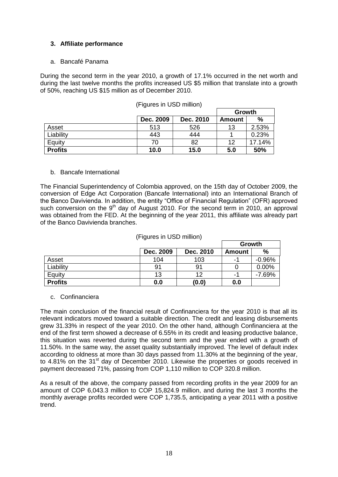## <span id="page-18-0"></span>**3. Affiliate performance**

#### a. Bancafé Panama

During the second term in the year 2010, a growth of 17.1% occurred in the net worth and during the last twelve months the profits increased US \$5 million that translate into a growth of 50%, reaching US \$15 million as of December 2010.

|                |           | Growth    |        |               |
|----------------|-----------|-----------|--------|---------------|
|                | Dec. 2009 | Dec. 2010 | Amount | $\frac{0}{0}$ |
| Asset          | 513       | 526       | 13     | 2.53%         |
| Liability      | 443       | 444       |        | 0.23%         |
| Equity         | 70        | 82        | 12     | 17.14%        |
| <b>Profits</b> | 10.0      | 15.0      | 5.0    | 50%           |

(Figures in USD million)

#### b. Bancafe International

The Financial Superintendency of Colombia approved, on the 15th day of October 2009, the conversion of Edge Act Corporation (Bancafe International) into an International Branch of the Banco Davivienda. In addition, the entity "Office of Financial Regulation" (OFR) approved such conversion on the  $9<sup>th</sup>$  day of August 2010. For the second term in 2010, an approval was obtained from the FED. At the beginning of the year 2011, this affiliate was already part of the Banco Davivienda branches.

|                | 11. 1991 CS 111 OOD THIMONY |           |               |          |
|----------------|-----------------------------|-----------|---------------|----------|
|                |                             |           | Growth        |          |
|                | Dec. 2009                   | Dec. 2010 | <b>Amount</b> | %        |
| Asset          | 104                         | 103       | -1            | $-0.96%$ |
| Liability      | 91                          | 91        |               | $0.00\%$ |
| Equity         | 13                          | 12        | -1            | $-7.69%$ |
| <b>Profits</b> | 0.0                         | (0.0)     | 0.0           |          |

#### (Figures in USD million)

#### c. Confinanciera

The main conclusion of the financial result of Confinanciera for the year 2010 is that all its relevant indicators moved toward a suitable direction. The credit and leasing disbursements grew 31.33% in respect of the year 2010. On the other hand, although Confinanciera at the end of the first term showed a decrease of 6.55% in its credit and leasing productive balance, this situation was reverted during the second term and the year ended with a growth of 11.50%. In the same way, the asset quality substantially improved. The level of default index according to oldness at more than 30 days passed from 11.30% at the beginning of the year, to 4.81% on the 31<sup>st</sup> day of December 2010. Likewise the properties or goods received in payment decreased 71%, passing from COP 1,110 million to COP 320.8 million.

As a result of the above, the company passed from recording profits in the year 2009 for an amount of COP 6,043.3 million to COP 15,824.9 million, and during the last 3 months the monthly average profits recorded were COP 1,735.5, anticipating a year 2011 with a positive trend.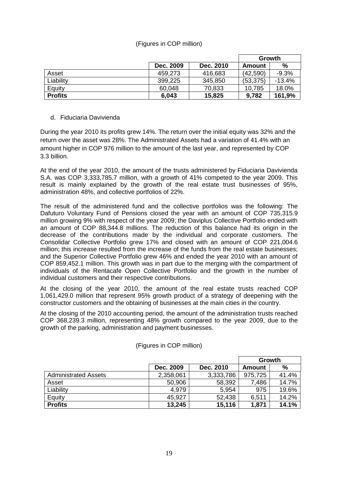## (Figures in COP million)

|                |           |           |           | Growth   |
|----------------|-----------|-----------|-----------|----------|
|                | Dec. 2009 | Dec. 2010 | Amount    | %        |
| Asset          | 459,273   | 416,683   | (42, 590) | $-9.3%$  |
| Liability      | 399,225   | 345,850   | (53, 375) | $-13.4%$ |
| Equity         | 60,048    | 70,833    | 10,785    | 18.0%    |
| <b>Profits</b> | 6,043     | 15,825    | 9,782     | 161,9%   |

#### d. Fiduciaria Davivienda

During the year 2010 its profits grew 14%. The return over the initial equity was 32% and the return over the asset was 28%. The Administrated Assets had a variation of 41.4% with an amount higher in COP 976 million to the amount of the last year, and represented by COP 3.3 billion.

At the end of the year 2010, the amount of the trusts administered by Fiduciaria Davivienda S.A. was COP 3,333,785.7 million, with a growth of 41% competed to the year 2009. This result is mainly explained by the growth of the real estate trust businesses of 95%, administration 48%, and collective portfolios of 22%.

The result of the administered fund and the collective portfolios was the following: The Dafuturo Voluntary Fund of Pensions closed the year with an amount of COP 735,315.9 million growing 9% with respect of the year 2009; the Daviplus Collective Portfolio ended with an amount of COP 88,344.8 millions. The reduction of this balance had its origin in the decrease of the contributions made by the individual and corporate customers. The Consolidar Collective Portfolio grew 17% and closed with an amount of COP 221,004.6 million; this increase resulted from the increase of the funds from the real estate businesses; and the Superior Collective Portfolio grew 46% and ended the year 2010 with an amount of COP 859,452.1 million. This growth was in part due to the merging with the compartment of individuals of the Rentacafe Open Collective Portfolio and the growth in the number of individual customers and their respective contributions.

At the closing of the year 2010, the amount of the real estate trusts reached COP 1,061,429.0 million that represent 95% growth product of a strategy of deepening with the constructor customers and the obtaining of businesses at the main cities in the country.

At the closing of the 2010 accounting period, the amount of the administration trusts reached COP 368,239.3 million, representing 48% growth compared to the year 2009, due to the growth of the parking, administration and payment businesses.

|                             |           |           |               | Growth        |
|-----------------------------|-----------|-----------|---------------|---------------|
|                             | Dec. 2009 | Dec. 2010 | <b>Amount</b> | $\frac{0}{0}$ |
| <b>Administrated Assets</b> | 2,358,061 | 3,333,786 | 975,725       | 41.4%         |
| Asset                       | 50,906    | 58,392    | 7,486         | 14.7%         |
| Liability                   | 4.979     | 5,954     | 975           | 19.6%         |
| Equity                      | 45,927    | 52,438    | 6,511         | 14.2%         |
| <b>Profits</b>              | 13,245    | 15,116    | 1,871         | 14.1%         |

(Figures in COP million)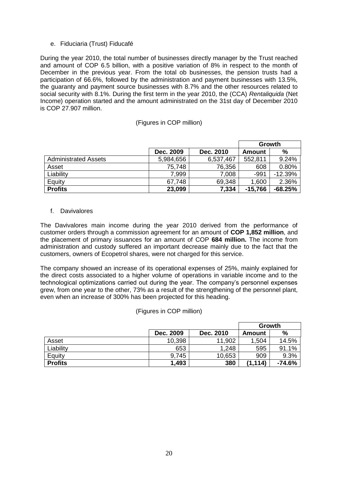#### e. Fiduciaria (Trust) Fiducafé

During the year 2010, the total number of businesses directly manager by the Trust reached and amount of COP 6.5 billion, with a positive variation of 8% in respect to the month of December in the previous year. From the total ob businesses, the pension trusts had a participation of 66.6%, followed by the administration and payment businesses with 13.5%, the guaranty and payment source businesses with 8.7% and the other resources related to social security with 8.1%. During the first term in the year 2010, the (CCA) *Rentaliquida* (Net Income) operation started and the amount administrated on the 31st day of December 2010 is COP 27.907 million.

#### (Figures in COP million)

|                             |           |           |               | Growth        |
|-----------------------------|-----------|-----------|---------------|---------------|
|                             | Dec. 2009 | Dec. 2010 | <b>Amount</b> | $\frac{9}{6}$ |
| <b>Administrated Assets</b> | 5,984,656 | 6,537,467 | 552,811       | 9.24%         |
| Asset                       | 75,748    | 76,356    | 608           | 0.80%         |
| Liability                   | 7,999     | 7,008     | $-991$        | $-12.39%$     |
| Equity                      | 67,748    | 69,348    | 1,600         | 2.36%         |
| <b>Profits</b>              | 23,099    | 7,334     | $-15,766$     | $-68.25%$     |

#### f. Davivalores

The Davivalores main income during the year 2010 derived from the performance of customer orders through a commission agreement for an amount of **COP 1,852 million**, and the placement of primary issuances for an amount of COP **684 million.** The income from administration and custody suffered an important decrease mainly due to the fact that the customers, owners of Ecopetrol shares, were not charged for this service.

The company showed an increase of its operational expenses of 25%, mainly explained for the direct costs associated to a higher volume of operations in variable income and to the technological optimizations carried out during the year. The company's personnel expenses grew, from one year to the other, 73% as a result of the strengthening of the personnel plant, even when an increase of 300% has been projected for this heading.

#### (Figures in COP million)

|                |           |           |          | Growth   |
|----------------|-----------|-----------|----------|----------|
|                | Dec. 2009 | Dec. 2010 | Amount   | %        |
| Asset          | 10,398    | 11,902    | 1,504    | 14.5%    |
| Liability      | 653       | 1,248     | 595      | 91.1%    |
| Equity         | 9,745     | 10,653    | 909      | 9.3%     |
| <b>Profits</b> | 1,493     | 380       | (1, 114) | $-74.6%$ |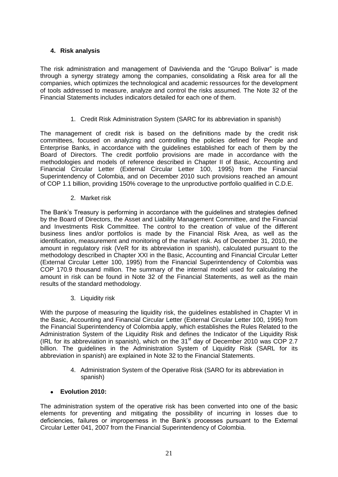## <span id="page-21-0"></span>**4. Risk analysis**

The risk administration and management of Davivienda and the "Grupo Bolivar" is made through a synergy strategy among the companies, consolidating a Risk area for all the companies, which optimizes the technological and academic ressources for the development of tools addressed to measure, analyze and control the risks assumed. The Note 32 of the Financial Statements includes indicators detailed for each one of them.

## 1. Credit Risk Administration System (SARC for its abbreviation in spanish)

The management of credit risk is based on the definitions made by the credit risk committees, focused on analyzing and controlling the policies defined for People and Enterprise Banks, in accordance with the guidelines established for each of them by the Board of Directors. The credit portfolio provisions are made in accordance with the methodologies and models of reference described in Chapter II of Basic, Accounting and Financial Circular Letter (External Circular Letter 100, 1995) from the Financial Superintendency of Colombia, and on December 2010 such provisions reached an amount of COP 1.1 billion, providing 150% coverage to the unproductive portfolio qualified in C.D.E.

## 2. Market risk

The Bank's Treasury is performing in accordance with the guidelines and strategies defined by the Board of Directors, the Asset and Liability Management Committee, and the Financial and Investments Risk Committee. The control to the creation of value of the different business lines and/or portfolios is made by the Financial Risk Area, as well as the identification, measurement and monitoring of the market risk. As of December 31, 2010, the amount in regulatory risk (VeR for its abbreviation in spanish), calculated pursuant to the methodology described in Chapter XXI in the Basic, Accounting and Financial Circular Letter (External Circular Letter 100, 1995) from the Financial Superintendency of Colombia was COP 170.9 thousand million. The summary of the internal model used for calculating the amount in risk can be found in Note 32 of the Financial Statements, as well as the main results of the standard methodology.

3. Liquidity risk

With the purpose of measuring the liquidity risk, the guidelines established in Chapter VI in the Basic, Accounting and Financial Circular Letter (External Circular Letter 100, 1995) from the Financial Superintendency of Colombia apply, which establishes the Rules Related to the Administration System of the Liquidity Risk and defines the Indicator of the Liquidity Risk (IRL for its abbreviation in spanish), which on the  $31<sup>st</sup>$  day of December 2010 was COP 2.7 billion. The guidelines in the Administration System of Liquidity Risk (SARL for its abbreviation in spanish) are explained in Note 32 to the Financial Statements.

> 4. Administration System of the Operative Risk (SARO for its abbreviation in spanish)

## **Evolution 2010:**

The administration system of the operative risk has been converted into one of the basic elements for preventing and mitigating the possibility of incurring in losses due to deficiencies, failures or improperness in the Bank's processes pursuant to the External Circular Letter 041, 2007 from the Financial Superintendency of Colombia.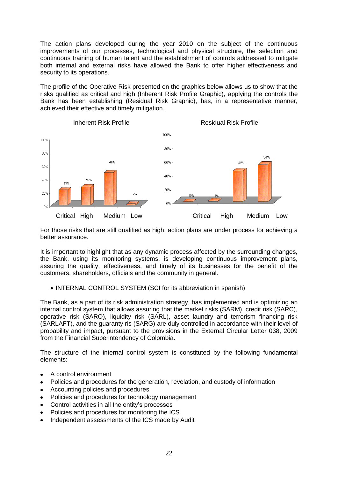The action plans developed during the year 2010 on the subject of the continuous improvements of our processes, technological and physical structure, the selection and continuous training of human talent and the establishment of controls addressed to mitigate both internal and external risks have allowed the Bank to offer higher effectiveness and security to its operations.

The profile of the Operative Risk presented on the graphics below allows us to show that the risks qualified as critical and high (Inherent Risk Profile Graphic), applying the controls the Bank has been establishing (Residual Risk Graphic), has, in a representative manner, achieved their effective and timely mitigation.



For those risks that are still qualified as high, action plans are under process for achieving a better assurance.

It is important to highlight that as any dynamic process affected by the surrounding changes, the Bank, using its monitoring systems, is developing continuous improvement plans, assuring the quality, effectiveness, and timely of its businesses for the benefit of the customers, shareholders, officials and the community in general.

• INTERNAL CONTROL SYSTEM (SCI for its abbreviation in spanish)

The Bank, as a part of its risk administration strategy, has implemented and is optimizing an internal control system that allows assuring that the market risks (SARM), credit risk (SARC), operative risk (SARO), liquidity risk (SARL), asset laundry and terrorism financing risk (SARLAFT), and the guaranty ris (SARG) are duly controlled in accordance with their level of probability and impact, pursuant to the provisions in the External Circular Letter 038, 2009 from the Financial Superintendency of Colombia.

The structure of the internal control system is constituted by the following fundamental elements:

- A control environment  $\bullet$
- Policies and procedures for the generation, revelation, and custody of information
- Accounting policies and procedures  $\bullet$
- Policies and procedures for technology management
- Control activities in all the entity's processes  $\bullet$
- $\bullet$ Policies and procedures for monitoring the ICS
- Independent assessments of the ICS made by Audit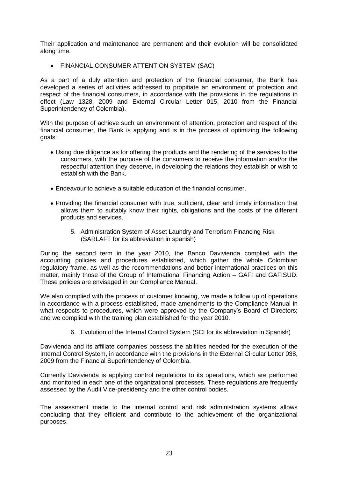Their application and maintenance are permanent and their evolution will be consolidated along time.

FINANCIAL CONSUMER ATTENTION SYSTEM (SAC)

As a part of a duly attention and protection of the financial consumer, the Bank has developed a series of activities addressed to propitiate an environment of protection and respect of the financial consumers, in accordance with the provisions in the regulations in effect (Law 1328, 2009 and External Circular Letter 015, 2010 from the Financial Superintendency of Colombia).

With the purpose of achieve such an environment of attention, protection and respect of the financial consumer, the Bank is applying and is in the process of optimizing the following goals:

- Using due diligence as for offering the products and the rendering of the services to the consumers, with the purpose of the consumers to receive the information and/or the respectful attention they deserve, in developing the relations they establish or wish to establish with the Bank.
- Endeavour to achieve a suitable education of the financial consumer.
- Providing the financial consumer with true, sufficient, clear and timely information that allows them to suitably know their rights, obligations and the costs of the different products and services.
	- 5. Administration System of Asset Laundry and Terrorism Financing Risk (SARLAFT for its abbreviation in spanish)

During the second term in the year 2010, the Banco Davivienda complied with the accounting policies and procedures established, which gather the whole Colombian regulatory frame, as well as the recommendations and better international practices on this matter, mainly those of the Group of International Financing Action – GAFI and GAFISUD. These policies are envisaged in our Compliance Manual.

We also complied with the process of customer knowing, we made a follow up of operations in accordance with a process established, made amendments to the Compliance Manual in what respects to procedures, which were approved by the Company's Board of Directors; and we complied with the training plan established for the year 2010.

6. Evolution of the Internal Control System (SCI for its abbreviation in Spanish)

Davivienda and its affiliate companies possess the abilities needed for the execution of the Internal Control System, in accordance with the provisions in the External Circular Letter 038, 2009 from the Financial Superintendency of Colombia.

Currently Davivienda is applying control regulations to its operations, which are performed and monitored in each one of the organizational processes. These regulations are frequently assessed by the Audit Vice-presidency and the other control bodies.

The assessment made to the internal control and risk administration systems allows concluding that they efficient and contribute to the achievement of the organizational purposes.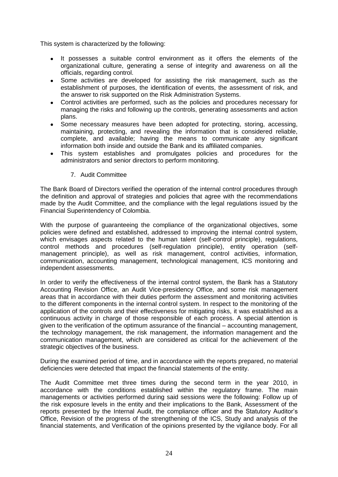This system is characterized by the following:

- It possesses a suitable control environment as it offers the elements of the organizational culture, generating a sense of integrity and awareness on all the officials, regarding control.
- Some activities are developed for assisting the risk management, such as the establishment of purposes, the identification of events, the assessment of risk, and the answer to risk supported on the Risk Administration Systems.
- Control activities are performed, such as the policies and procedures necessary for managing the risks and following up the controls, generating assessments and action plans.
- Some necessary measures have been adopted for protecting, storing, accessing, maintaining, protecting, and revealing the information that is considered reliable, complete, and available; having the means to communicate any significant information both inside and outside the Bank and its affiliated companies.
- This system establishes and promulgates policies and procedures for the administrators and senior directors to perform monitoring.
	- 7. Audit Committee

The Bank Board of Directors verified the operation of the internal control procedures through the definition and approval of strategies and policies that agree with the recommendations made by the Audit Committee, and the compliance with the legal regulations issued by the Financial Superintendency of Colombia.

With the purpose of guaranteeing the compliance of the organizational objectives, some policies were defined and established, addressed to improving the internal control system, which envisages aspects related to the human talent (self-control principle), regulations, control methods and procedures (self-regulation principle), entity operation (selfmanagement principle), as well as risk management, control activities, information, communication, accounting management, technological management, ICS monitoring and independent assessments.

In order to verify the effectiveness of the internal control system, the Bank has a Statutory Accounting Revision Office, an Audit Vice-presidency Office, and some risk management areas that in accordance with their duties perform the assessment and monitoring activities to the different components in the internal control system. In respect to the monitoring of the application of the controls and their effectiveness for mitigating risks, it was established as a continuous activity in charge of those responsible of each process. A special attention is given to the verification of the optimum assurance of the financial – accounting management, the technology management, the risk management, the information management and the communication management, which are considered as critical for the achievement of the strategic objectives of the business.

During the examined period of time, and in accordance with the reports prepared, no material deficiencies were detected that impact the financial statements of the entity.

The Audit Committee met three times during the second term in the year 2010, in accordance with the conditions established within the regulatory frame. The main managements or activities performed during said sessions were the following: Follow up of the risk exposure levels in the entity and their implications to the Bank, Assessment of the reports presented by the Internal Audit, the compliance officer and the Statutory Auditor's Office, Revision of the progress of the strengthening of the ICS, Study and analysis of the financial statements, and Verification of the opinions presented by the vigilance body. For all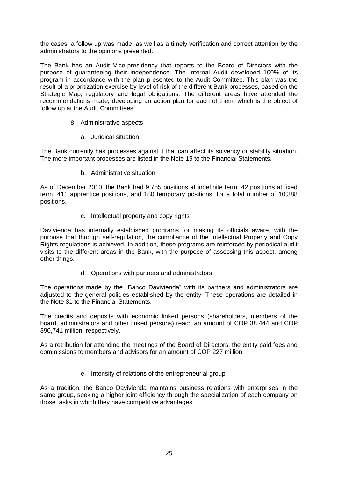the cases, a follow up was made, as well as a timely verification and correct attention by the administrators to the opinions presented.

The Bank has an Audit Vice-presidency that reports to the Board of Directors with the purpose of guaranteeing their independence. The Internal Audit developed 100% of its program in accordance with the plan presented to the Audit Committee. This plan was the result of a prioritization exercise by level of risk of the different Bank processes, based on the Strategic Map, regulatory and legal obligations. The different areas have attended the recommendations made, developing an action plan for each of them, which is the object of follow up at the Audit Committees.

- 8. Administrative aspects
	- a. Juridical situation

The Bank currently has processes against it that can affect its solvency or stability situation. The more important processes are listed in the Note 19 to the Financial Statements.

b. Administrative situation

As of December 2010, the Bank had 9,755 positions at indefinite term, 42 positions at fixed term, 411 apprentice positions, and 180 temporary positions, for a total number of 10,388 positions.

c. Intellectual property and copy rights

Davivienda has internally established programs for making its officials aware, with the purpose that through self-regulation, the compliance of the Intellectual Property and Copy Rights regulations is achieved. In addition, these programs are reinforced by periodical audit visits to the different areas in the Bank, with the purpose of assessing this aspect, among other things.

d. Operations with partners and administrators

The operations made by the "Banco Davivienda" with its partners and administrators are adjusted to the general policies established by the entity. These operations are detailed in the Note 31 to the Financial Statements.

The credits and deposits with economic linked persons (shareholders, members of the board, administrators and other linked persons) reach an amount of COP 38,444 and COP 390,741 million, respectively.

As a retribution for attending the meetings of the Board of Directors, the entity paid fees and commissions to members and advisors for an amount of COP 227 million.

e. Intensity of relations of the entrepreneurial group

As a tradition, the Banco Davivienda maintains business relations with enterprises in the same group, seeking a higher joint efficiency through the specialization of each company on those tasks in which they have competitive advantages.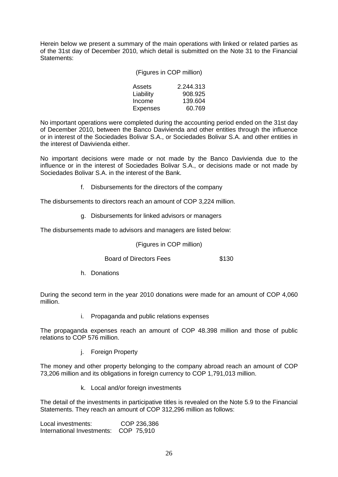Herein below we present a summary of the main operations with linked or related parties as of the 31st day of December 2010, which detail is submitted on the Note 31 to the Financial Statements:

| (Figures in COP million) |  |  |  |  |
|--------------------------|--|--|--|--|
|--------------------------|--|--|--|--|

| Assets    | 2.244.313 |
|-----------|-----------|
| Liability | 908.925   |
| Income    | 139.604   |
| Expenses  | 60.769    |

No important operations were completed during the accounting period ended on the 31st day of December 2010, between the Banco Davivienda and other entities through the influence or in interest of the Sociedades Bolivar S.A., or Sociedades Bolivar S.A. and other entities in the interest of Davivienda either.

No important decisions were made or not made by the Banco Davivienda due to the influence or in the interest of Sociedades Bolivar S.A., or decisions made or not made by Sociedades Bolivar S.A. in the interest of the Bank.

f. Disbursements for the directors of the company

The disbursements to directors reach an amount of COP 3,224 million.

g. Disbursements for linked advisors or managers

The disbursements made to advisors and managers are listed below:

(Figures in COP million)

Board of Directors Fees \$130

h. Donations

During the second term in the year 2010 donations were made for an amount of COP 4,060 million.

i. Propaganda and public relations expenses

The propaganda expenses reach an amount of COP 48.398 million and those of public relations to COP 576 million.

j. Foreign Property

The money and other property belonging to the company abroad reach an amount of COP 73,206 million and its obligations in foreign currency to COP 1,791,013 million.

k. Local and/or foreign investments

The detail of the investments in participative titles is revealed on the Note 5.9 to the Financial Statements. They reach an amount of COP 312,296 million as follows:

Local investments: COP 236,386 International Investments: COP 75,910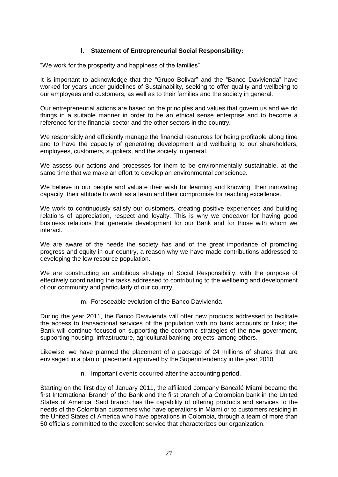## **l. Statement of Entrepreneurial Social Responsibility:**

"We work for the prosperity and happiness of the families"

It is important to acknowledge that the "Grupo Bolivar" and the "Banco Davivienda" have worked for years under quidelines of Sustainability, seeking to offer quality and wellbeing to our employees and customers, as well as to their families and the society in general.

Our entrepreneurial actions are based on the principles and values that govern us and we do things in a suitable manner in order to be an ethical sense enterprise and to become a reference for the financial sector and the other sectors in the country.

We responsibly and efficiently manage the financial resources for being profitable along time and to have the capacity of generating development and wellbeing to our shareholders, employees, customers, suppliers, and the society in general.

We assess our actions and processes for them to be environmentally sustainable, at the same time that we make an effort to develop an environmental conscience.

We believe in our people and valuate their wish for learning and knowing, their innovating capacity, their attitude to work as a team and their compromise for reaching excellence.

We work to continuously satisfy our customers, creating positive experiences and building relations of appreciation, respect and loyalty. This is why we endeavor for having good business relations that generate development for our Bank and for those with whom we interact.

We are aware of the needs the society has and of the great importance of promoting progress and equity in our country, a reason why we have made contributions addressed to developing the low resource population.

We are constructing an ambitious strategy of Social Responsibility, with the purpose of effectively coordinating the tasks addressed to contributing to the wellbeing and development of our community and particularly of our country.

m. Foreseeable evolution of the Banco Davivienda

During the year 2011, the Banco Davivienda will offer new products addressed to facilitate the access to transactional services of the population with no bank accounts or links; the Bank will continue focused on supporting the economic strategies of the new government, supporting housing, infrastructure, agricultural banking projects, among others.

Likewise, we have planned the placement of a package of 24 millions of shares that are envisaged in a plan of placement approved by the Superintendency in the year 2010.

n. Important events occurred after the accounting period.

Starting on the first day of January 2011, the affiliated company Bancafé Miami became the first International Branch of the Bank and the first branch of a Colombian bank in the United States of America. Said branch has the capability of offering products and services to the needs of the Colombian customers who have operations in Miami or to customers residing in the United States of America who have operations in Colombia, through a team of more than 50 officials committed to the excellent service that characterizes our organization.